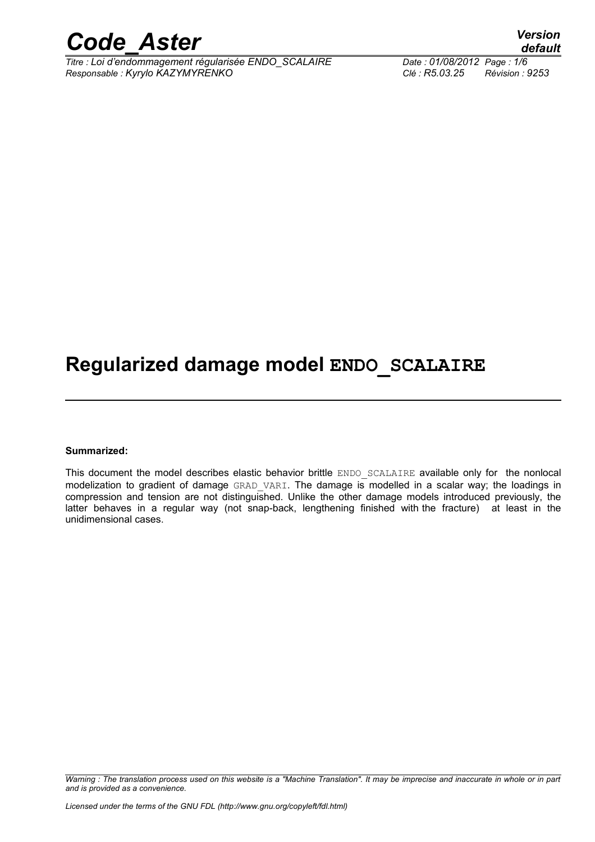

*Titre : Loi d'endommagement régularisée ENDO\_SCALAIRE Date : 01/08/2012 Page : 1/6 Responsable : Kyrylo KAZYMYRENKO Clé : R5.03.25 Révision : 9253*

## **Regularized damage model ENDO\_SCALAIRE**

#### **Summarized:**

This document the model describes elastic behavior brittle ENDO SCALAIRE available only for the nonlocal modelization to gradient of damage GRAD VARI. The damage is modelled in a scalar way; the loadings in compression and tension are not distinguished. Unlike the other damage models introduced previously, the latter behaves in a regular way (not snap-back, lengthening finished with the fracture) at least in the unidimensional cases.

*Warning : The translation process used on this website is a "Machine Translation". It may be imprecise and inaccurate in whole or in part and is provided as a convenience.*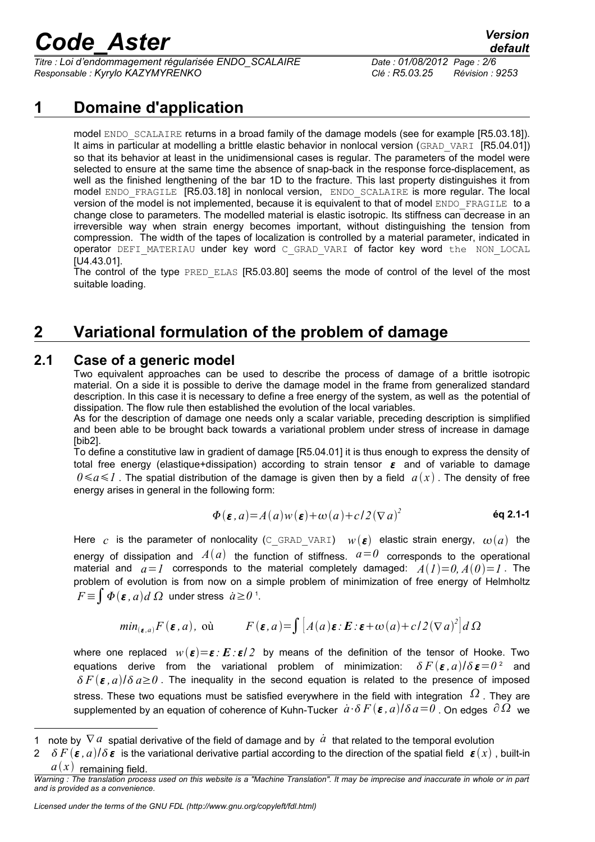*Titre : Loi d'endommagement régularisée ENDO\_SCALAIRE Date : 01/08/2012 Page : 2/6 Responsable : Kyrylo KAZYMYRENKO Clé : R5.03.25 Révision : 9253*

### **1 Domaine d'application**

model ENDO SCALAIRE returns in a broad family of the damage models (see for example [R5.03.18]). It aims in particular at modelling a brittle elastic behavior in nonlocal version (GRAD VARI [R5.04.01]) so that its behavior at least in the unidimensional cases is regular. The parameters of the model were selected to ensure at the same time the absence of snap-back in the response force-displacement, as well as the finished lengthening of the bar 1D to the fracture. This last property distinguishes it from model ENDO\_FRAGILE [R5.03.18] in nonlocal version, ENDO\_SCALAIRE is more regular. The local version of the model is not implemented, because it is equivalent to that of model ENDO\_FRAGILE to a change close to parameters. The modelled material is elastic isotropic. Its stiffness can decrease in an irreversible way when strain energy becomes important, without distinguishing the tension from compression. The width of the tapes of localization is controlled by a material parameter, indicated in operator DEFI\_MATERIAU under key word C\_GRAD\_VARI of factor key word the NON\_LOCAL [U4.43.01].

The control of the type PRED ELAS [R5.03.80] seems the mode of control of the level of the most suitable loading.

## **2 Variational formulation of the problem of damage**

#### **2.1 Case of a generic model**

Two equivalent approaches can be used to describe the process of damage of a brittle isotropic material. On a side it is possible to derive the damage model in the frame from generalized standard description. In this case it is necessary to define a free energy of the system, as well as the potential of dissipation. The flow rule then established the evolution of the local variables.

As for the description of damage one needs only a scalar variable, preceding description is simplified and been able to be brought back towards a variational problem under stress of increase in damage [bib2].

To define a constitutive law in gradient of damage [R5.04.01] it is thus enough to express the density of total free energy (elastique+dissipation) according to strain tensor  $\varepsilon$  and of variable to damage  $0 \le a \le l$ . The spatial distribution of the damage is given then by a field  $a(x)$ . The density of free energy arises in general in the following form:

$$
\Phi(\varepsilon, a) = A(a)w(\varepsilon) + \omega(a) + c/2(\nabla a)^2
$$
\n
$$
\text{\'{e}q 2.1-1}
$$

Here *c* is the parameter of nonlocality (C\_GRAD\_VARI)  $w(\epsilon)$  elastic strain energy,  $\omega(a)$  the energy of dissipation and  $A(a)$  the function of stiffness.  $a=0$  corresponds to the operational material and  $a=1$  corresponds to the material completely damaged:  $A(1)=0, A(0)=1$ . The problem of evolution is from now on a simple problem of minimization of free energy of Helmholtz  $F \!\equiv\!\int \boldsymbol{\varPhi}(\boldsymbol{\varepsilon}\,,a) d\ \varOmega\;$  under stress  $\;\dot{a} \!\geq\! 0$   $\,$ '.

$$
min_{(\varepsilon, a)} F(\varepsilon, a), \text{ où } F(\varepsilon, a) = \int [A(a)\varepsilon \colon E \colon \varepsilon + \omega(a) + c/2 (\nabla a)^2] d \Omega
$$

where one replaced  $w(\boldsymbol{\varepsilon}) = \boldsymbol{\varepsilon}$ :  $\boldsymbol{E} \cdot \boldsymbol{\varepsilon}/2$  by means of the definition of the tensor of Hooke. Two equations derive from the variational problem of minimization:  $\delta F(\boldsymbol{\varepsilon},a)/\delta\,\boldsymbol{\varepsilon}$  and  $\delta F(\varepsilon, a)/\delta a \ge 0$ . The inequality in the second equation is related to the presence of imposed stress. These two equations must be satisfied everywhere in the field with integration  $\Omega$  . They are supplemented by an equation of coherence of Kuhn-Tucker  $\dot{a}$  ·  $\delta F(\epsilon, a)/\delta a = 0$  . On edges  $\partial \Omega$  we

<span id="page-1-0"></span><sup>1</sup> note by  $\nabla a$  spatial derivative of the field of damage and by  $\hat{a}$  that related to the temporal evolution

<span id="page-1-1"></span> $2 \delta F(\epsilon, a)/\delta \epsilon$  is the variational derivative partial according to the direction of the spatial field  $\epsilon(x)$ , built-in  $a(x)$  remaining field.

*Warning : The translation process used on this website is a "Machine Translation". It may be imprecise and inaccurate in whole or in part and is provided as a convenience.*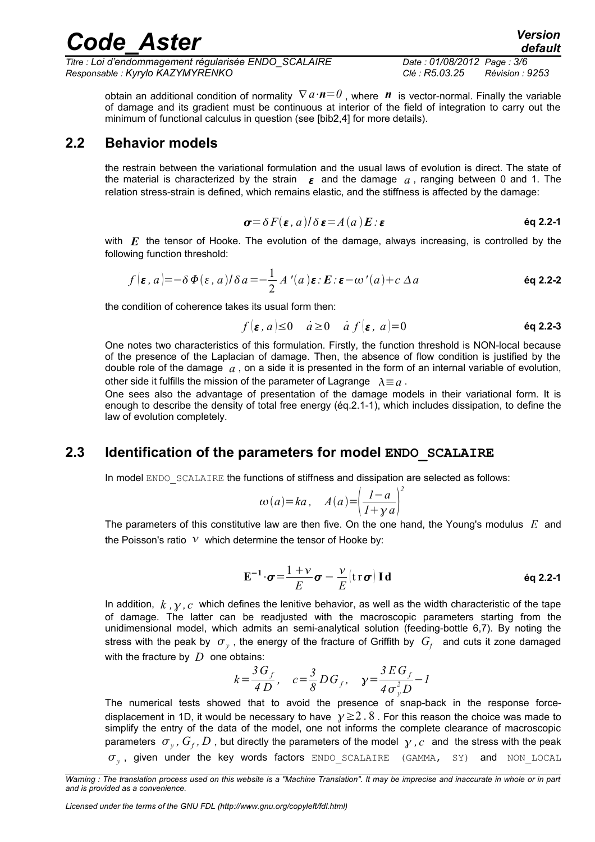*Titre : Loi d'endommagement régularisée ENDO\_SCALAIRE Date : 01/08/2012 Page : 3/6 Responsable : Kyrylo KAZYMYRENKO Clé : R5.03.25 Révision : 9253*

obtain an additional condition of normality <sup>∇</sup> *a*⋅*n*=*0* , where *n* is vector-normal. Finally the variable of damage and its gradient must be continuous at interior of the field of integration to carry out the minimum of functional calculus in question (see [bib2,4] for more details).

#### **2.2 Behavior models**

the restrain between the variational formulation and the usual laws of evolution is direct. The state of the material is characterized by the strain  $\epsilon$  and the damage  $\alpha$ , ranging between 0 and 1. The relation stress-strain is defined, which remains elastic, and the stiffness is affected by the damage:

$$
\sigma = \delta F(\varepsilon, a) / \delta \varepsilon = A(a) E : \varepsilon
$$
éq 2.2-1

with *E* the tensor of Hooke. The evolution of the damage, always increasing, is controlled by the following function threshold:

$$
f(\varepsilon, a) = -\delta \Phi(\varepsilon, a) / \delta a = -\frac{1}{2} A'(a) \varepsilon : E : \varepsilon - \omega'(a) + c \Delta a
$$

the condition of coherence takes its usual form then:

$$
f(\varepsilon, a) \le 0 \quad a \ge 0 \quad a f(\varepsilon, a) = 0
$$
 \t\t\t $\text{6q 2.2-3}$ 

One notes two characteristics of this formulation. Firstly, the function threshold is NON-local because of the presence of the Laplacian of damage. Then, the absence of flow condition is justified by the double role of the damage *a* , on a side it is presented in the form of an internal variable of evolution, other side it fulfills the mission of the parameter of Lagrange  $\lambda \equiv a$ .

One sees also the advantage of presentation of the damage models in their variational form. It is enough to describe the density of total free energy (éq.2.1-1), which includes dissipation, to define the law of evolution completely.

#### **2.3 Identification of the parameters for model ENDO\_SCALAIRE**

In model ENDO SCALAIRE the functions of stiffness and dissipation are selected as follows:

$$
\omega(a)=ka, \quad A(a)=\left(\frac{1-a}{1+\gamma a}\right)^2
$$

The parameters of this constitutive law are then five. On the one hand, the Young's modulus *E* and the Poisson's ratio  $V$  which determine the tensor of Hooke by:

$$
\mathbf{E}^{-1} \cdot \boldsymbol{\sigma} = \frac{1+\nu}{E} \boldsymbol{\sigma} - \frac{\nu}{E} (\mathbf{tr} \, \boldsymbol{\sigma}) \, \mathbf{I} \, \mathbf{d} \tag{6q 2.2-1}
$$

In addition,  $k$ ,  $\gamma$ ,  $c$  which defines the lenitive behavior, as well as the width characteristic of the tape of damage. The latter can be readjusted with the macroscopic parameters starting from the unidimensional model, which admits an semi-analytical solution (feeding-bottle 6,7). By noting the stress with the peak by  $\sigma_{_y}$  , the energy of the fracture of Griffith by  $\,G_{\!f}\,$  and cuts it zone damaged with the fracture by *D* one obtains:

$$
k = \frac{3G_f}{4D}
$$
,  $c = \frac{3}{8}DG_f$ ,  $y = \frac{3EG_f}{4\sigma_y^2 D} - 1$ 

The numerical tests showed that to avoid the presence of snap-back in the response forcedisplacement in 1D, it would be necessary to have  $\gamma \ge 2.8$ . For this reason the choice was made to simplify the entry of the data of the model, one not informs the complete clearance of macroscopic parameters  $\sigma_y$  ,  $G_f$  ,  $D$  , but directly the parameters of the model  $\gamma$  ,  $c$  and the stress with the peak  $\sigma_{_{\rm y}}$ , given under the key words factors  $_{\rm ENDO\_SCALAIRE}$  (GAMMA, SY) and  $_{\rm NON\_LOCAL}$ 

*Licensed under the terms of the GNU FDL (http://www.gnu.org/copyleft/fdl.html)*

*Warning : The translation process used on this website is a "Machine Translation". It may be imprecise and inaccurate in whole or in part and is provided as a convenience.*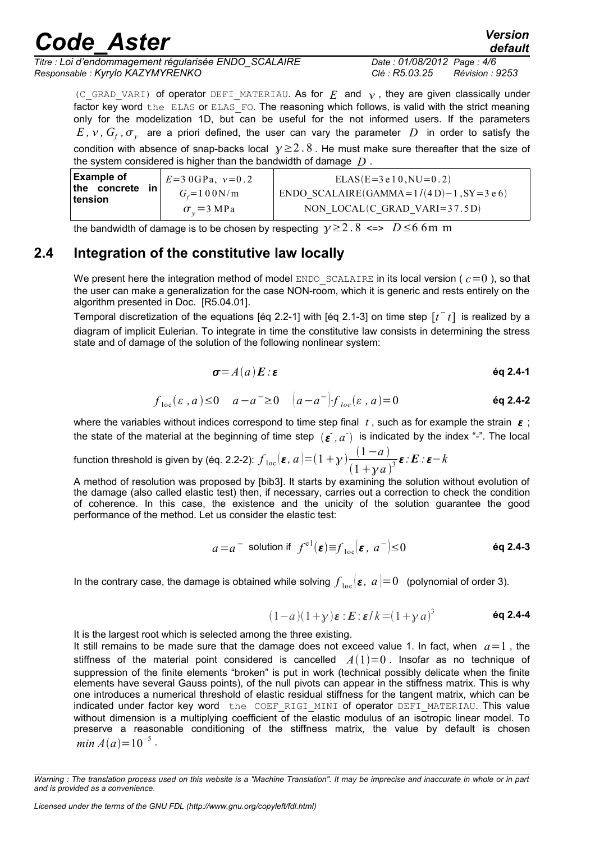*Titre : Loi d'endommagement régularisée ENDO\_SCALAIRE Date : 01/08/2012 Page : 4/6 Responsable : Kyrylo KAZYMYRENKO Clé : R5.03.25 Révision : 9253*

*default*

(C\_GRAD\_VARI) of operator DEFI\_MATERIAU. As for  $E$  and  $v$ , they are given classically under factor key word the ELAS or ELAS FO. The reasoning which follows, is valid with the strict meaning only for the modelization 1D, but can be useful for the not informed users. If the parameters  $E$  ,  $\mathcal{V}$  ,  $G_{f}$  ,  $\sigma_{y}$  are a priori defined, the user can vary the parameter  $D$  in order to satisfy the condition with absence of snap-backs local  $y \ge 2.8$ . He must make sure thereafter that the size of the system considered is higher than the bandwidth of damage *D* .

| <b>Example of</b><br>the concrete<br>in i<br>tension | $E = 3.0$ GPa, $v = 0.2$<br>$G_{\rm c}$ =100N/m | $ELAS(E=3e10, NU=0.2)$<br>ENDO SCALAIRE(GAMMA= $1/(4 D)-1$ , SY=3 e 6) |
|------------------------------------------------------|-------------------------------------------------|------------------------------------------------------------------------|
|                                                      | $\sigma_v = 3 \text{ MPa}$                      | NON LOCAL $(C$ GRAD VARI=37.5D)                                        |

the bandwidth of damage is to be chosen by respecting  $y \ge 2$ . 8 <=>  $D \le 6$  6m m

#### **2.4 Integration of the constitutive law locally**

We present here the integration method of model ENDO SCALAIRE in its local version ( $c=0$ ), so that the user can make a generalization for the case NON-room, which it is generic and rests entirely on the algorithm presented in Doc. [R5.04.01].

Temporal discretization of the equations [éq 2.2-1] with [éq 2.1-3] on time step  $[t<sup>-</sup> t]$  is realized by a diagram of implicit Eulerian. To integrate in time the constitutive law consists in determining the stress state and of damage of the solution of the following nonlinear system:

$$
\boldsymbol{\sigma} = A(a) \boldsymbol{E} : \boldsymbol{\varepsilon}
$$

$$
f_{\text{loc}}(\varepsilon, a) \le 0 \quad a - a^{-} \ge 0 \quad \left(a - a^{-}\right) f_{\text{loc}}(\varepsilon, a) = 0 \tag{6q 2.4-2}
$$

where the variables without indices correspond to time step final  $t$ , such as for example the strain  $\epsilon$ ; the state of the material at the beginning of time step  $(\varepsilon^-,a^+)$  is indicated by the index "-". The local

function threshold is given by (éq. 2.2-2):  $f_{\text{loc}}(\boldsymbol{\varepsilon}, a)$   $=$   $(1 + y) \frac{(1 - a)}{(1 - a)^2}$  $\frac{(1-a)}{(1+\gamma a)^3}$  $\epsilon$  : **E** : **ε**-**k** 

A method of resolution was proposed by [bib3]. It starts by examining the solution without evolution of the damage (also called elastic test) then, if necessary, carries out a correction to check the condition of coherence. In this case, the existence and the unicity of the solution guarantee the good performance of the method. Let us consider the elastic test:

$$
a=a^-
$$
 solution if  $f^{e|}(\varepsilon) \equiv f_{loc}(\varepsilon, a^-) \le 0$  \t\t 6q 2.4-3

In the contrary case, the damage is obtained while solving  $f_{\text{loc}}(\bm{\varepsilon},|a|\!=\!0|)$  (polynomial of order 3).

$$
(1-a)(1+\gamma)\varepsilon : E : \varepsilon/k = (1+\gamma a)^3
$$
 6q 2.4-4

It is the largest root which is selected among the three existing.

It still remains to be made sure that the damage does not exceed value 1. In fact, when  $a=1$ , the stiffness of the material point considered is cancelled  $A(1)=0$ . Insofar as no technique of suppression of the finite elements "broken" is put in work (technical possibly delicate when the finite elements have several Gauss points), of the null pivots can appear in the stiffness matrix. This is why one introduces a numerical threshold of elastic residual stiffness for the tangent matrix, which can be indicated under factor key word the COEF RIGI\_MINI of operator DEFI\_MATERIAU. This value without dimension is a multiplying coefficient of the elastic modulus of an isotropic linear model. To preserve a reasonable conditioning of the stiffness matrix, the value by default is chosen *min*  $A(a)=10^{-5}$ .

*Warning : The translation process used on this website is a "Machine Translation". It may be imprecise and inaccurate in whole or in part and is provided as a convenience.*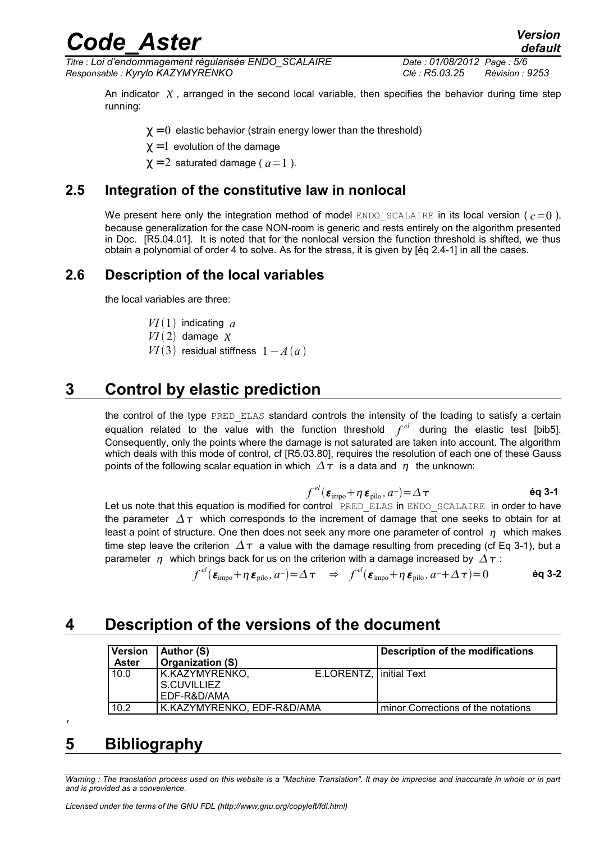*Titre : Loi d'endommagement régularisée ENDO\_SCALAIRE Date : 01/08/2012 Page : 5/6 Responsable : Kyrylo KAZYMYRENKO Clé : R5.03.25 Révision : 9253*

An indicator  $X$ , arranged in the second local variable, then specifies the behavior during time step running:

 $\gamma = 0$  elastic behavior (strain energy lower than the threshold)

 $\gamma = 1$  evolution of the damage

 $\chi = 2$  saturated damage ( $a=1$ ).

#### **2.5 Integration of the constitutive law in nonlocal**

We present here only the integration method of model  $ENDO$  SCALAIRE in its local version ( $c=0$ ), because generalization for the case NON-room is generic and rests entirely on the algorithm presented in Doc. [R5.04.01]. It is noted that for the nonlocal version the function threshold is shifted, we thus obtain a polynomial of order 4 to solve. As for the stress, it is given by [éq 2.4-1] in all the cases.

#### **2.6 Description of the local variables**

the local variables are three:

 $VI(1)$  indicating  $a$ 

 $VI(2)$  damage  $\chi$ 

*VI*(3) residual stiffness  $1 - A(a)$ 

## **3 Control by elastic prediction**

the control of the type PRED ELAS standard controls the intensity of the loading to satisfy a certain equation related to the value with the function threshold  $f^{el}$  during the elastic test [bib5]. Consequently, only the points where the damage is not saturated are taken into account. The algorithm which deals with this mode of control, cf [R5.03.80], requires the resolution of each one of these Gauss points of the following scalar equation in which  $\Delta \tau$  is a data and  $\eta$  the unknown:

$$
f^{el}(\boldsymbol{\varepsilon}_{\text{impo}} + \eta \, \boldsymbol{\varepsilon}_{\text{pilo}}, a^{-}) = \Delta \, \tau \tag{6q 3-1}
$$

Let us note that this equation is modified for control PRED ELAS in ENDO SCALAIRE in order to have the parameter  $\Delta \tau$  which corresponds to the increment of damage that one seeks to obtain for at least a point of structure. One then does not seek any more one parameter of control  $\eta$  which makes time step leave the criterion  $\Delta \tau$  a value with the damage resulting from preceding (cf Eq 3-1), but a parameter  $\eta$  which brings back for us on the criterion with a damage increased by  $\Delta \tau$ :

$$
f^{el}(\boldsymbol{\varepsilon}_{\text{impo}} + \eta \, \boldsymbol{\varepsilon}_{\text{pilo}}, a^{-}) = \Delta \, \tau \quad \Rightarrow \quad f^{el}(\boldsymbol{\varepsilon}_{\text{impo}} + \eta \, \boldsymbol{\varepsilon}_{\text{pilo}}, a^{-} + \Delta \, \tau) = 0 \tag{6q\ 3-2}
$$

#### **4 Description of the versions of the document**

| <b>Version</b><br><b>Aster</b> | Author (S)<br><b>Organization (S)</b>        |                           | <b>Description of the modifications</b> |
|--------------------------------|----------------------------------------------|---------------------------|-----------------------------------------|
| 10.0                           | K.KAZYMYRENKO,<br>S.CUVILLIEZ<br>EDF-R&D/AMA | E.LORENTZ,   initial Text |                                         |
| 10.2                           | K.KAZYMYRENKO, EDF-R&D/AMA                   |                           | minor Corrections of the notations      |

#### **5 Bibliography**

 $\mathbf{r}$ 

*Warning : The translation process used on this website is a "Machine Translation". It may be imprecise and inaccurate in whole or in part and is provided as a convenience.*